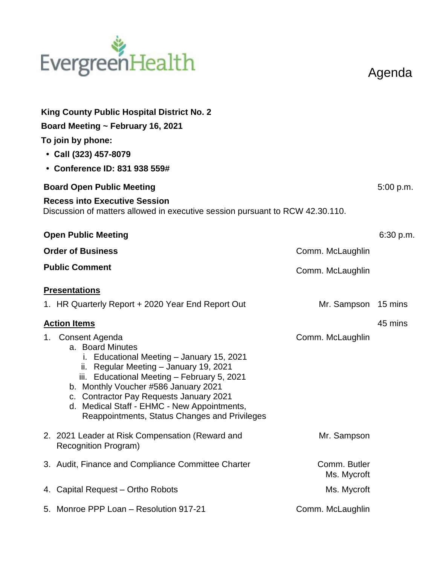## EvergreenHealth

Agenda

| <b>King County Public Hospital District No. 2</b><br>Board Meeting ~ February 16, 2021<br>To join by phone:<br>• Call (323) 457-8079<br>• Conference ID: 831 938 559#                                                                                                                                                                                             |                             |           |
|-------------------------------------------------------------------------------------------------------------------------------------------------------------------------------------------------------------------------------------------------------------------------------------------------------------------------------------------------------------------|-----------------------------|-----------|
| <b>Board Open Public Meeting</b>                                                                                                                                                                                                                                                                                                                                  |                             | 5:00 p.m. |
| <b>Recess into Executive Session</b><br>Discussion of matters allowed in executive session pursuant to RCW 42.30.110.                                                                                                                                                                                                                                             |                             |           |
| <b>Open Public Meeting</b>                                                                                                                                                                                                                                                                                                                                        |                             | 6:30 p.m. |
| <b>Order of Business</b>                                                                                                                                                                                                                                                                                                                                          | Comm. McLaughlin            |           |
| <b>Public Comment</b>                                                                                                                                                                                                                                                                                                                                             | Comm. McLaughlin            |           |
| <b>Presentations</b>                                                                                                                                                                                                                                                                                                                                              |                             |           |
| 1. HR Quarterly Report + 2020 Year End Report Out                                                                                                                                                                                                                                                                                                                 | Mr. Sampson 15 mins         |           |
| <b>Action Items</b>                                                                                                                                                                                                                                                                                                                                               |                             | 45 mins   |
| Consent Agenda<br>1.<br>a. Board Minutes<br>i. Educational Meeting - January 15, 2021<br>ii. Regular Meeting - January 19, 2021<br>iii. Educational Meeting - February 5, 2021<br>b. Monthly Voucher #586 January 2021<br>c. Contractor Pay Requests January 2021<br>d. Medical Staff - EHMC - New Appointments,<br>Reappointments, Status Changes and Privileges | Comm. McLaughlin            |           |
| 2. 2021 Leader at Risk Compensation (Reward and<br><b>Recognition Program)</b>                                                                                                                                                                                                                                                                                    | Mr. Sampson                 |           |
| 3. Audit, Finance and Compliance Committee Charter                                                                                                                                                                                                                                                                                                                | Comm. Butler<br>Ms. Mycroft |           |
| 4. Capital Request - Ortho Robots                                                                                                                                                                                                                                                                                                                                 | Ms. Mycroft                 |           |
| 5. Monroe PPP Loan - Resolution 917-21                                                                                                                                                                                                                                                                                                                            | Comm. McLaughlin            |           |